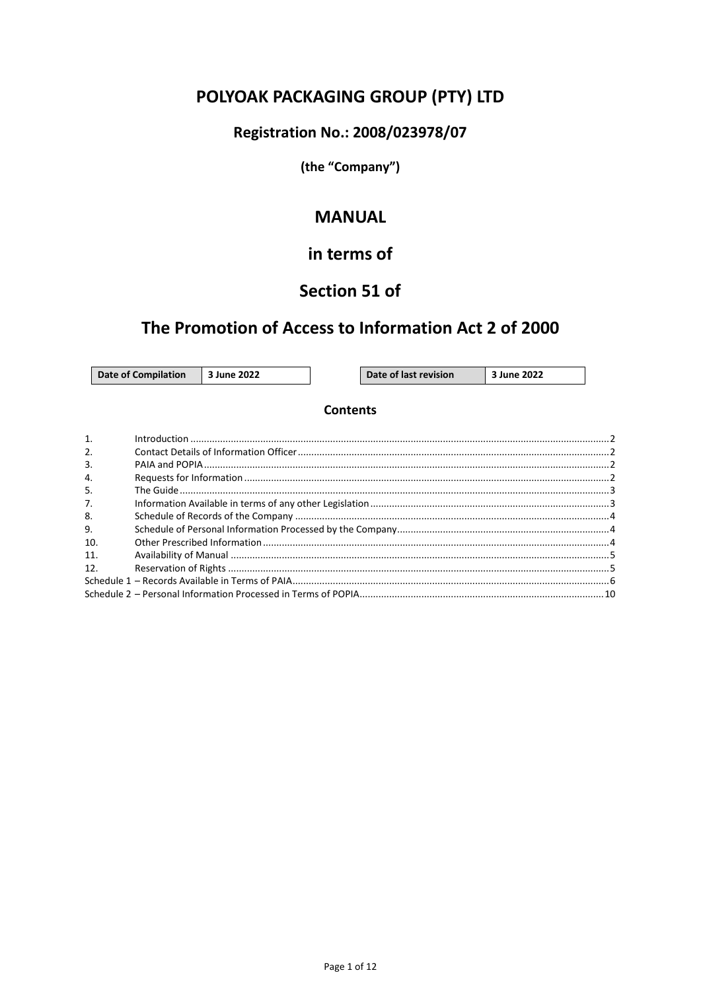# POLYOAK PACKAGING GROUP (PTY) LTD

### Registration No.: 2008/023978/07

(the "Company")

### **MANUAL**

### in terms of

### Section 51 of

### The Promotion of Access to Information Act 2 of 2000

**June 2022** 

Date of last revision

3 June 2022

#### **Contents**

| $\mathbf{1}$     |  |
|------------------|--|
| $\overline{2}$ . |  |
| $\overline{3}$ . |  |
| $\overline{4}$ . |  |
| .5.              |  |
| 7.               |  |
| 8.               |  |
| 9.               |  |
| 10.              |  |
| 11.              |  |
| 12.              |  |
|                  |  |
|                  |  |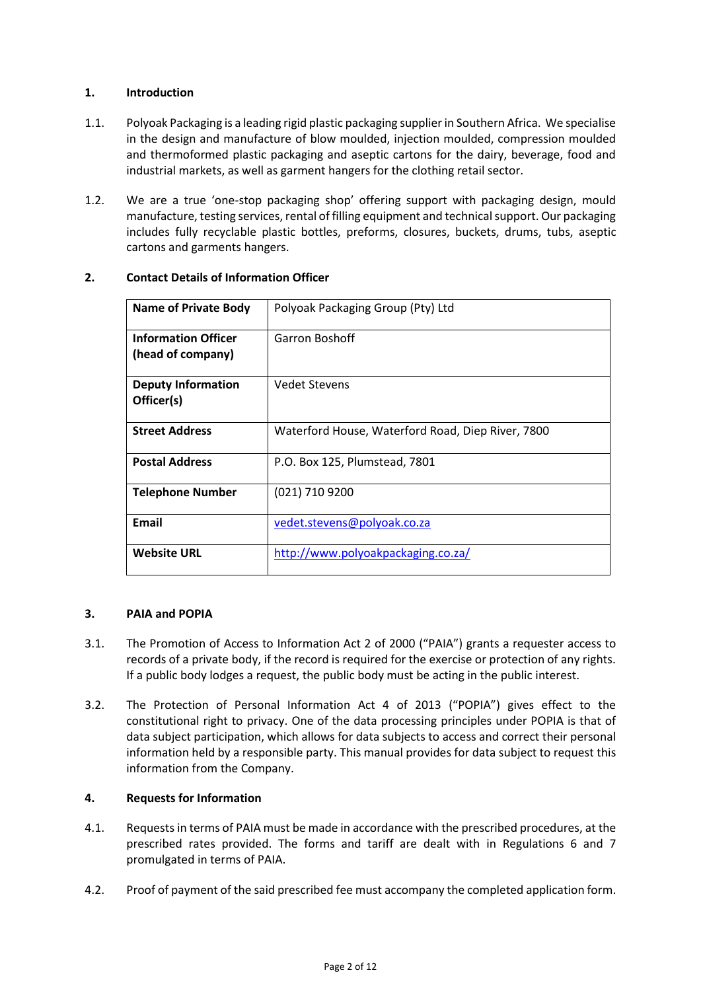#### <span id="page-1-0"></span>**1. Introduction**

- 1.1. Polyoak Packaging is a leading rigid plastic packaging supplier in Southern Africa. We specialise in the design and manufacture of blow moulded, injection moulded, compression moulded and thermoformed plastic packaging and aseptic cartons for the dairy, beverage, food and industrial markets, as well as garment hangers for the clothing retail sector.
- 1.2. We are a true 'one-stop packaging shop' offering support with packaging design, mould manufacture, testing services, rental of filling equipment and technical support. Our packaging includes fully recyclable plastic bottles, preforms, closures, buckets, drums, tubs, aseptic cartons and garments hangers.

| <b>Name of Private Body</b>                     | Polyoak Packaging Group (Pty) Ltd                 |
|-------------------------------------------------|---------------------------------------------------|
| <b>Information Officer</b><br>(head of company) | Garron Boshoff                                    |
| <b>Deputy Information</b><br>Officer(s)         | <b>Vedet Stevens</b>                              |
| <b>Street Address</b>                           | Waterford House, Waterford Road, Diep River, 7800 |
| <b>Postal Address</b>                           | P.O. Box 125, Plumstead, 7801                     |
| <b>Telephone Number</b>                         | (021) 710 9200                                    |
| <b>Email</b>                                    | vedet.stevens@polyoak.co.za                       |
| <b>Website URL</b>                              | http://www.polyoakpackaging.co.za/                |

#### <span id="page-1-1"></span>**2. Contact Details of Information Officer**

#### <span id="page-1-2"></span>**3. PAIA and POPIA**

- 3.1. The Promotion of Access to Information Act 2 of 2000 ("PAIA") grants a requester access to records of a private body, if the record is required for the exercise or protection of any rights. If a public body lodges a request, the public body must be acting in the public interest.
- 3.2. The Protection of Personal Information Act 4 of 2013 ("POPIA") gives effect to the constitutional right to privacy. One of the data processing principles under POPIA is that of data subject participation, which allows for data subjects to access and correct their personal information held by a responsible party. This manual provides for data subject to request this information from the Company.

#### <span id="page-1-3"></span>**4. Requests for Information**

- 4.1. Requests in terms of PAIA must be made in accordance with the prescribed procedures, at the prescribed rates provided. The forms and tariff are dealt with in Regulations 6 and 7 promulgated in terms of PAIA.
- 4.2. Proof of payment of the said prescribed fee must accompany the completed application form.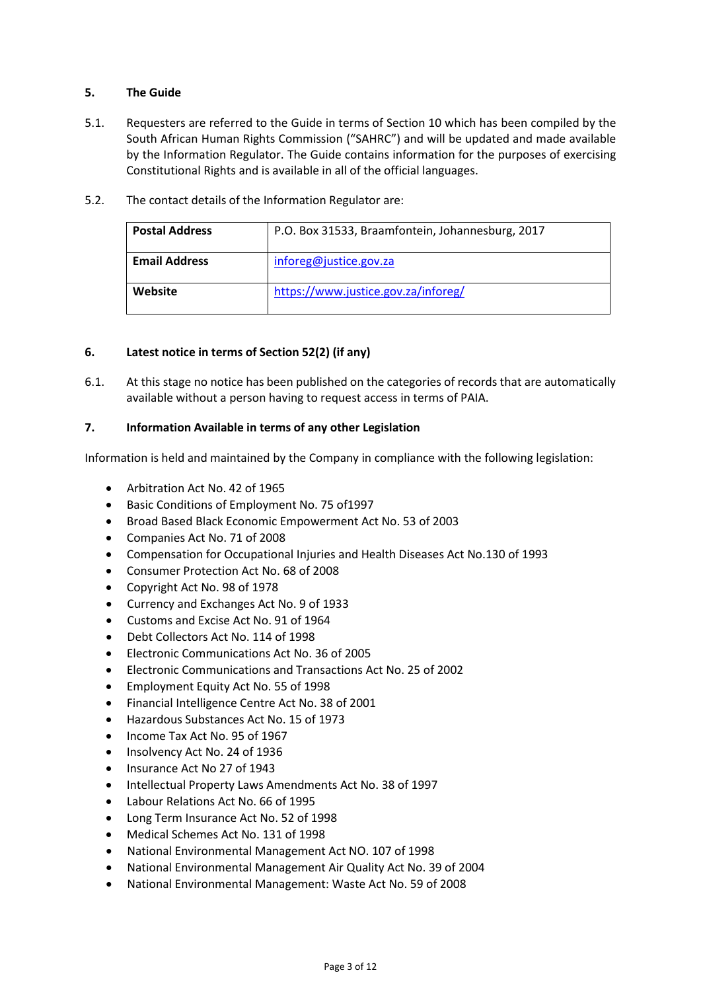#### <span id="page-2-0"></span>**5. The Guide**

- 5.1. Requesters are referred to the Guide in terms of Section 10 which has been compiled by the South African Human Rights Commission ("SAHRC") and will be updated and made available by the Information Regulator. The Guide contains information for the purposes of exercising Constitutional Rights and is available in all of the official languages.
- 5.2. The contact details of the Information Regulator are:

| <b>Postal Address</b> | P.O. Box 31533, Braamfontein, Johannesburg, 2017 |
|-----------------------|--------------------------------------------------|
| <b>Email Address</b>  | inforeg@justice.gov.za                           |
| Website               | https://www.justice.gov.za/inforeg/              |

#### **6. Latest notice in terms of Section 52(2) (if any)**

6.1. At this stage no notice has been published on the categories of records that are automatically available without a person having to request access in terms of PAIA.

#### <span id="page-2-1"></span>**7. Information Available in terms of any other Legislation**

Information is held and maintained by the Company in compliance with the following legislation:

- Arbitration Act No. 42 of 1965
- Basic Conditions of Employment No. 75 of1997
- Broad Based Black Economic Empowerment Act No. 53 of 2003
- Companies Act No. 71 of 2008
- Compensation for Occupational Injuries and Health Diseases Act No.130 of 1993
- Consumer Protection Act No. 68 of 2008
- Copyright Act No. 98 of 1978
- Currency and Exchanges Act No. 9 of 1933
- Customs and Excise Act No. 91 of 1964
- Debt Collectors Act No. 114 of 1998
- Electronic Communications Act No. 36 of 2005
- Electronic Communications and Transactions Act No. 25 of 2002
- Employment Equity Act No. 55 of 1998
- Financial Intelligence Centre Act No. 38 of 2001
- Hazardous Substances Act No. 15 of 1973
- Income Tax Act No. 95 of 1967
- Insolvency Act No. 24 of 1936
- Insurance Act No 27 of 1943
- Intellectual Property Laws Amendments Act No. 38 of 1997
- Labour Relations Act No. 66 of 1995
- Long Term Insurance Act No. 52 of 1998
- Medical Schemes Act No. 131 of 1998
- National Environmental Management Act NO. 107 of 1998
- National Environmental Management Air Quality Act No. 39 of 2004
- National Environmental Management: Waste Act No. 59 of 2008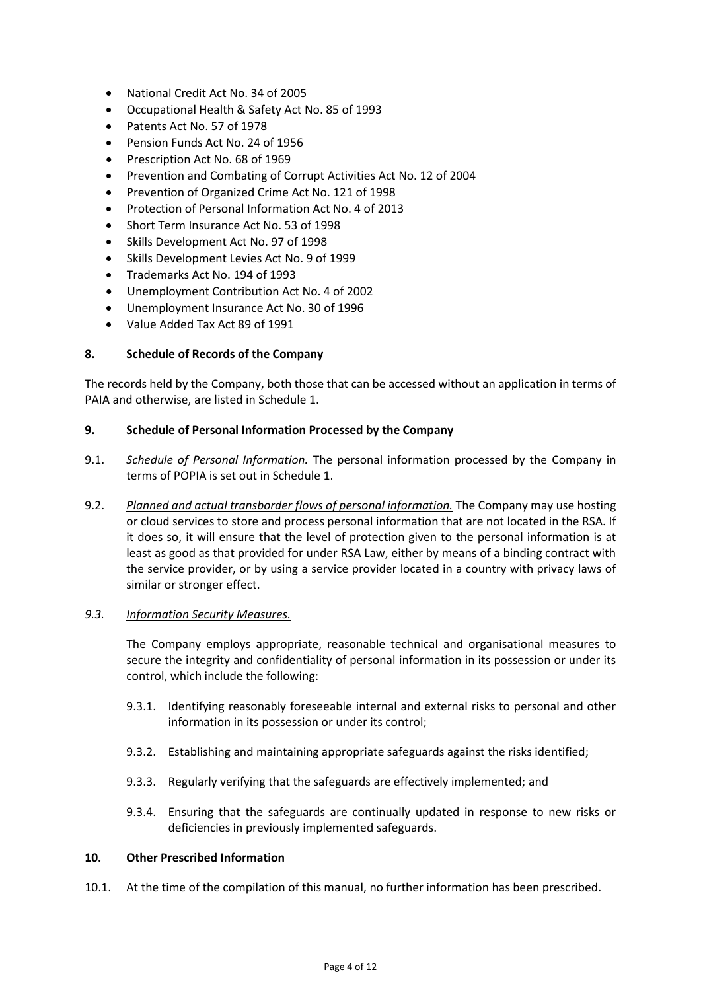- National Credit Act No. 34 of 2005
- Occupational Health & Safety Act No. 85 of 1993
- Patents Act No. 57 of 1978
- Pension Funds Act No. 24 of 1956
- Prescription Act No. 68 of 1969
- Prevention and Combating of Corrupt Activities Act No. 12 of 2004
- Prevention of Organized Crime Act No. 121 of 1998
- Protection of Personal Information Act No. 4 of 2013
- Short Term Insurance Act No. 53 of 1998
- Skills Development Act No. 97 of 1998
- Skills Development Levies Act No. 9 of 1999
- Trademarks Act No. 194 of 1993
- Unemployment Contribution Act No. 4 of 2002
- Unemployment Insurance Act No. 30 of 1996
- Value Added Tax Act 89 of 1991

#### <span id="page-3-0"></span>**8. Schedule of Records of the Company**

The records held by the Company, both those that can be accessed without an application in terms of PAIA and otherwise, are listed i[n Schedule 1.](#page-5-0)

#### <span id="page-3-1"></span>**9. Schedule of Personal Information Processed by the Company**

- 9.1. *Schedule of Personal Information.* The personal information processed by the Company in terms of POPIA is set out i[n Schedule 1.](#page-8-0)
- 9.2. *Planned and actual transborder flows of personal information.* The Company may use hosting or cloud services to store and process personal information that are not located in the RSA. If it does so, it will ensure that the level of protection given to the personal information is at least as good as that provided for under RSA Law, either by means of a binding contract with the service provider, or by using a service provider located in a country with privacy laws of similar or stronger effect.

#### *9.3. Information Security Measures.*

The Company employs appropriate, reasonable technical and organisational measures to secure the integrity and confidentiality of personal information in its possession or under its control, which include the following:

- 9.3.1. Identifying reasonably foreseeable internal and external risks to personal and other information in its possession or under its control;
- 9.3.2. Establishing and maintaining appropriate safeguards against the risks identified;
- 9.3.3. Regularly verifying that the safeguards are effectively implemented; and
- 9.3.4. Ensuring that the safeguards are continually updated in response to new risks or deficiencies in previously implemented safeguards.

#### <span id="page-3-2"></span>**10. Other Prescribed Information**

10.1. At the time of the compilation of this manual, no further information has been prescribed.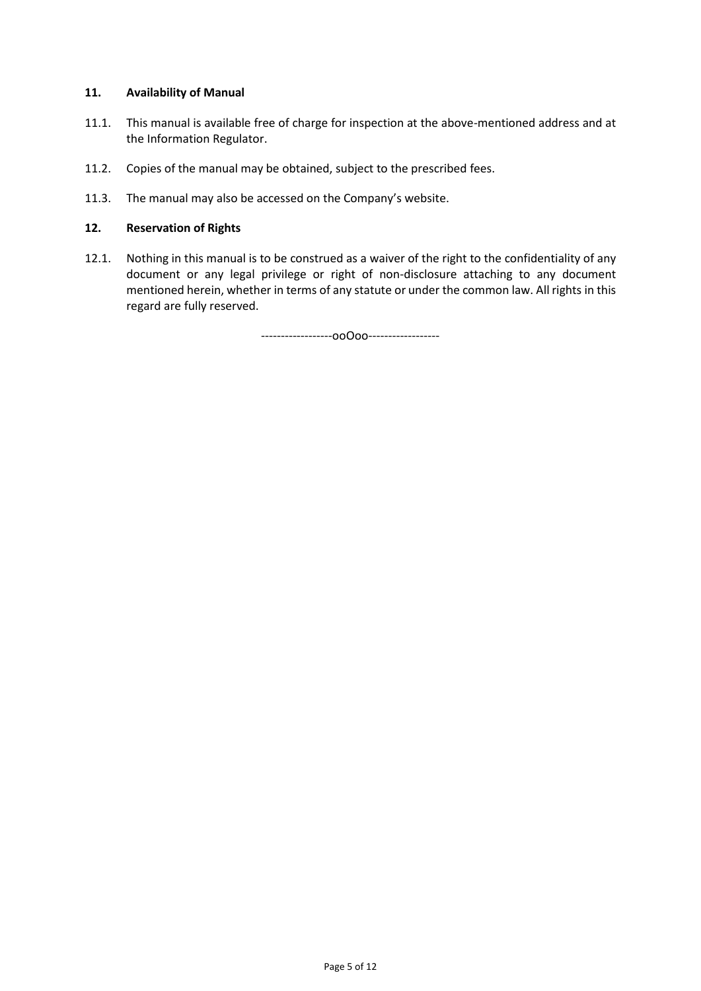#### <span id="page-4-0"></span>**11. Availability of Manual**

- 11.1. This manual is available free of charge for inspection at the above-mentioned address and at the Information Regulator.
- 11.2. Copies of the manual may be obtained, subject to the prescribed fees.
- 11.3. The manual may also be accessed on the Company's website.

#### <span id="page-4-1"></span>**12. Reservation of Rights**

12.1. Nothing in this manual is to be construed as a waiver of the right to the confidentiality of any document or any legal privilege or right of non-disclosure attaching to any document mentioned herein, whether in terms of any statute or under the common law. All rights in this regard are fully reserved.

------------------ooOoo------------------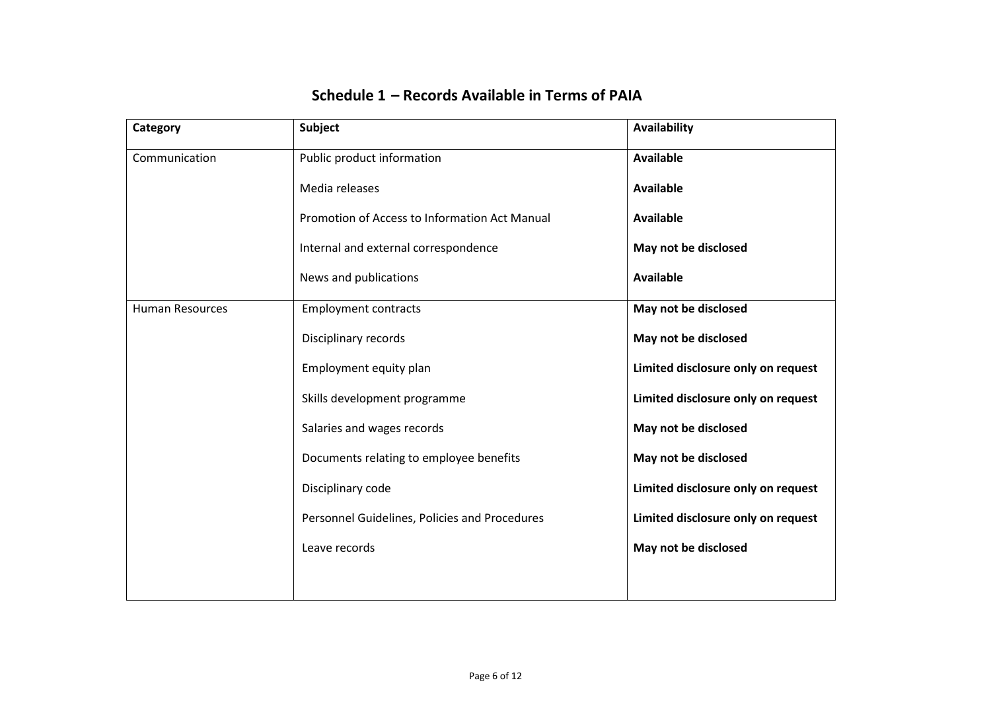<span id="page-5-0"></span>

| Category               | Subject                                       | Availability                       |
|------------------------|-----------------------------------------------|------------------------------------|
| Communication          | Public product information                    | <b>Available</b>                   |
|                        | Media releases                                | <b>Available</b>                   |
|                        | Promotion of Access to Information Act Manual | <b>Available</b>                   |
|                        | Internal and external correspondence          | May not be disclosed               |
|                        | News and publications                         | <b>Available</b>                   |
| <b>Human Resources</b> | <b>Employment contracts</b>                   | May not be disclosed               |
|                        | Disciplinary records                          | May not be disclosed               |
|                        | Employment equity plan                        | Limited disclosure only on request |
|                        | Skills development programme                  | Limited disclosure only on request |
|                        | Salaries and wages records                    | May not be disclosed               |
|                        | Documents relating to employee benefits       | May not be disclosed               |
|                        | Disciplinary code                             | Limited disclosure only on request |
|                        | Personnel Guidelines, Policies and Procedures | Limited disclosure only on request |
|                        | Leave records                                 | May not be disclosed               |
|                        |                                               |                                    |

### **Schedule 1 – Records Available in Terms of PAIA**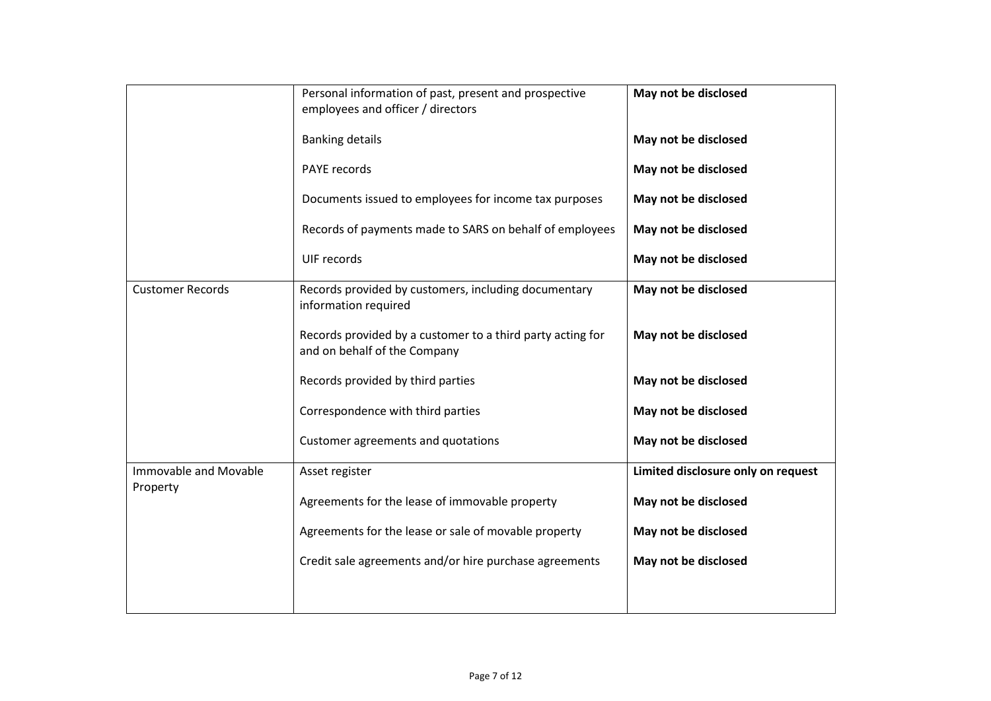|                                   | Personal information of past, present and prospective<br>employees and officer / directors | May not be disclosed               |
|-----------------------------------|--------------------------------------------------------------------------------------------|------------------------------------|
|                                   | <b>Banking details</b>                                                                     | May not be disclosed               |
|                                   | PAYE records                                                                               | May not be disclosed               |
|                                   | Documents issued to employees for income tax purposes                                      | May not be disclosed               |
|                                   | Records of payments made to SARS on behalf of employees                                    | May not be disclosed               |
|                                   | UIF records                                                                                | May not be disclosed               |
| <b>Customer Records</b>           | Records provided by customers, including documentary<br>information required               | May not be disclosed               |
|                                   | Records provided by a customer to a third party acting for<br>and on behalf of the Company | May not be disclosed               |
|                                   | Records provided by third parties                                                          | May not be disclosed               |
|                                   | Correspondence with third parties                                                          | May not be disclosed               |
|                                   | Customer agreements and quotations                                                         | May not be disclosed               |
| Immovable and Movable<br>Property | Asset register                                                                             | Limited disclosure only on request |
|                                   | Agreements for the lease of immovable property                                             | May not be disclosed               |
|                                   | Agreements for the lease or sale of movable property                                       | May not be disclosed               |
|                                   | Credit sale agreements and/or hire purchase agreements                                     | May not be disclosed               |
|                                   |                                                                                            |                                    |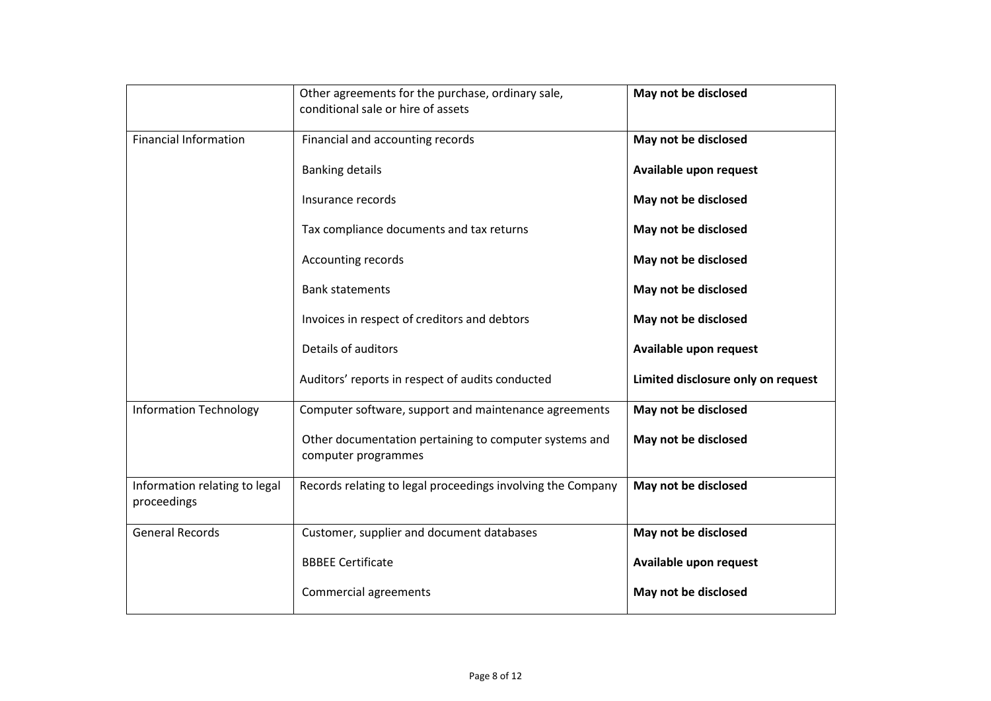|                                              | Other agreements for the purchase, ordinary sale,<br>conditional sale or hire of assets | May not be disclosed               |
|----------------------------------------------|-----------------------------------------------------------------------------------------|------------------------------------|
| <b>Financial Information</b>                 | Financial and accounting records                                                        | May not be disclosed               |
|                                              | <b>Banking details</b>                                                                  | Available upon request             |
|                                              | Insurance records                                                                       | May not be disclosed               |
|                                              | Tax compliance documents and tax returns                                                | May not be disclosed               |
|                                              | Accounting records                                                                      | May not be disclosed               |
|                                              | <b>Bank statements</b>                                                                  | May not be disclosed               |
|                                              | Invoices in respect of creditors and debtors                                            | May not be disclosed               |
|                                              | Details of auditors                                                                     | Available upon request             |
|                                              | Auditors' reports in respect of audits conducted                                        | Limited disclosure only on request |
| <b>Information Technology</b>                | Computer software, support and maintenance agreements                                   | May not be disclosed               |
|                                              | Other documentation pertaining to computer systems and<br>computer programmes           | May not be disclosed               |
| Information relating to legal<br>proceedings | Records relating to legal proceedings involving the Company                             | May not be disclosed               |
| <b>General Records</b>                       | Customer, supplier and document databases                                               | May not be disclosed               |
|                                              | <b>BBBEE Certificate</b>                                                                | Available upon request             |
|                                              | <b>Commercial agreements</b>                                                            | May not be disclosed               |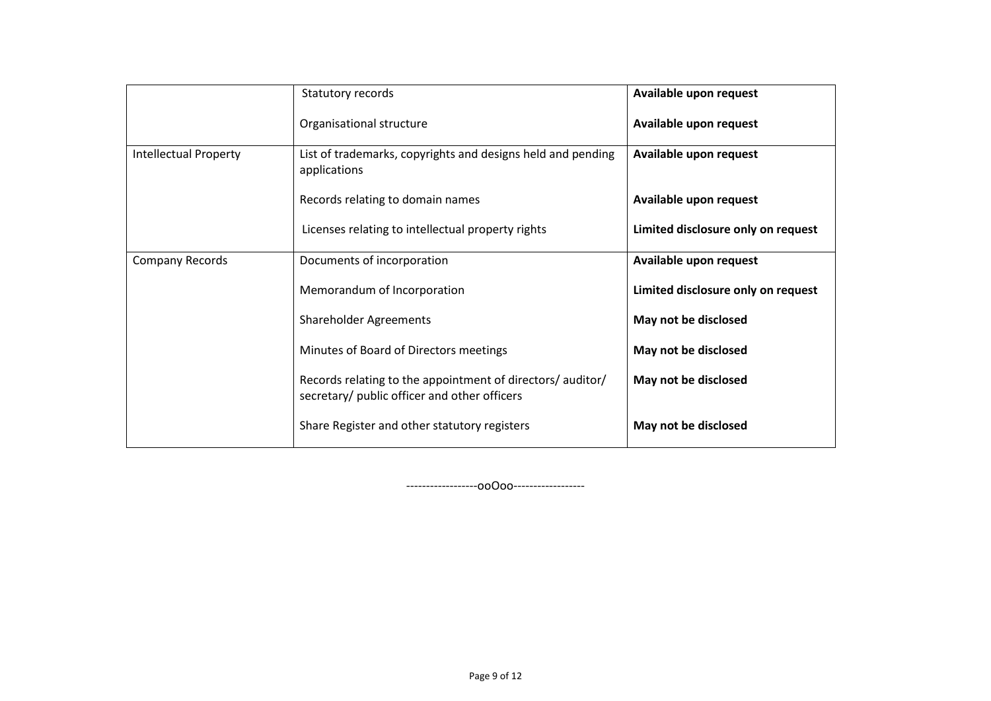|                              | Statutory records                                                                                          | Available upon request             |
|------------------------------|------------------------------------------------------------------------------------------------------------|------------------------------------|
|                              | Organisational structure                                                                                   | Available upon request             |
| <b>Intellectual Property</b> | List of trademarks, copyrights and designs held and pending<br>applications                                | Available upon request             |
|                              | Records relating to domain names                                                                           | Available upon request             |
|                              | Licenses relating to intellectual property rights                                                          | Limited disclosure only on request |
| Company Records              | Documents of incorporation                                                                                 | Available upon request             |
|                              | Memorandum of Incorporation                                                                                | Limited disclosure only on request |
|                              | <b>Shareholder Agreements</b>                                                                              | May not be disclosed               |
|                              | Minutes of Board of Directors meetings                                                                     | May not be disclosed               |
|                              | Records relating to the appointment of directors/ auditor/<br>secretary/ public officer and other officers | May not be disclosed               |
|                              | Share Register and other statutory registers                                                               | May not be disclosed               |

<span id="page-8-0"></span>------------------ooOoo------------------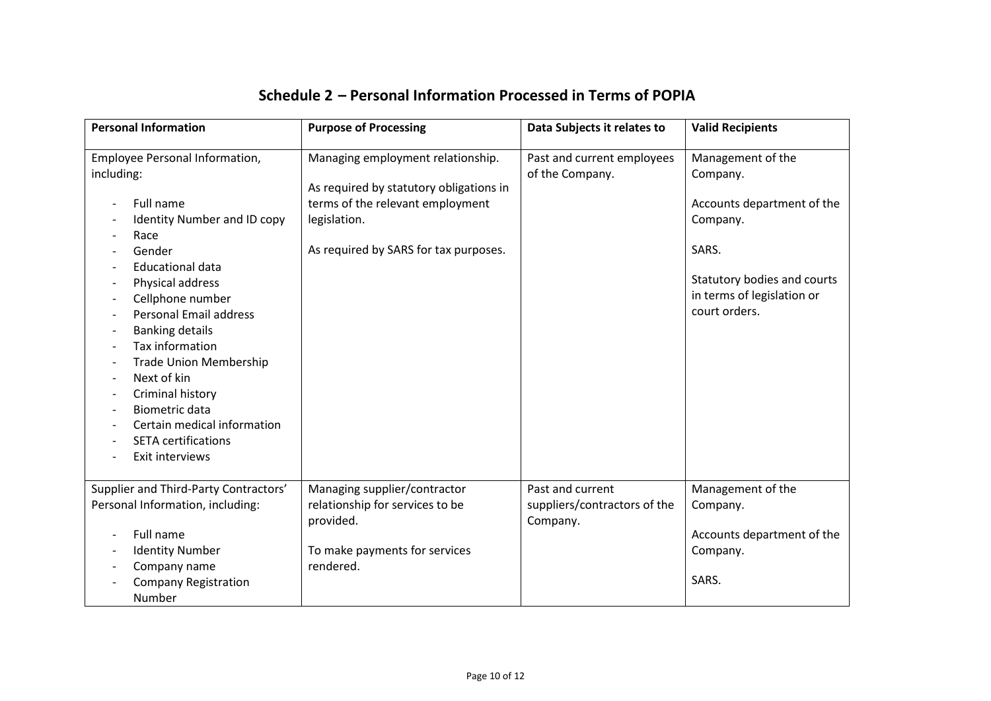<span id="page-9-0"></span>

| <b>Personal Information</b>                                                                                                                                                                                                                                                                                                                                                                                                              | <b>Purpose of Processing</b>                                                                                                                                              | Data Subjects it relates to                                  | <b>Valid Recipients</b>                                                                                                                                        |
|------------------------------------------------------------------------------------------------------------------------------------------------------------------------------------------------------------------------------------------------------------------------------------------------------------------------------------------------------------------------------------------------------------------------------------------|---------------------------------------------------------------------------------------------------------------------------------------------------------------------------|--------------------------------------------------------------|----------------------------------------------------------------------------------------------------------------------------------------------------------------|
| Employee Personal Information,<br>including:<br>Full name<br>Identity Number and ID copy<br>Race<br>Gender<br><b>Educational data</b><br>Physical address<br>Cellphone number<br><b>Personal Email address</b><br><b>Banking details</b><br>Tax information<br><b>Trade Union Membership</b><br>Next of kin<br>Criminal history<br><b>Biometric data</b><br>Certain medical information<br><b>SETA certifications</b><br>Exit interviews | Managing employment relationship.<br>As required by statutory obligations in<br>terms of the relevant employment<br>legislation.<br>As required by SARS for tax purposes. | Past and current employees<br>of the Company.                | Management of the<br>Company.<br>Accounts department of the<br>Company.<br>SARS.<br>Statutory bodies and courts<br>in terms of legislation or<br>court orders. |
| Supplier and Third-Party Contractors'<br>Personal Information, including:<br>Full name<br><b>Identity Number</b><br>Company name<br><b>Company Registration</b><br>Number                                                                                                                                                                                                                                                                | Managing supplier/contractor<br>relationship for services to be<br>provided.<br>To make payments for services<br>rendered.                                                | Past and current<br>suppliers/contractors of the<br>Company. | Management of the<br>Company.<br>Accounts department of the<br>Company.<br>SARS.                                                                               |

## **Schedule 2 – Personal Information Processed in Terms of POPIA**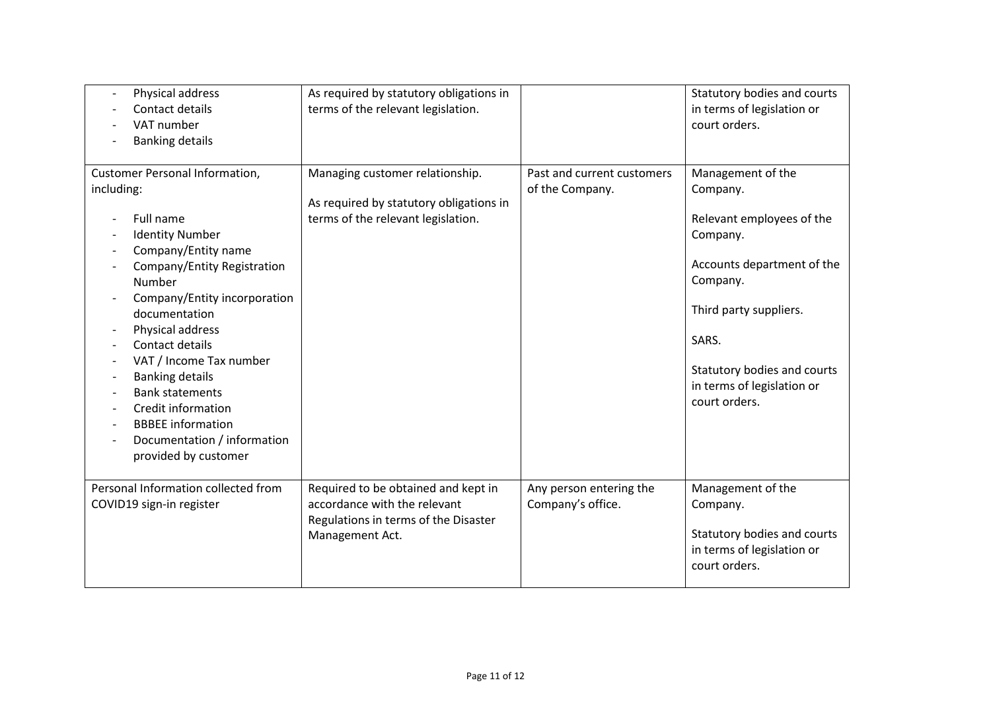| Physical address<br>$\overline{\phantom{a}}$<br>Contact details<br>VAT number<br><b>Banking details</b>                                                                                                                                                                                                                                                                                                                                    | As required by statutory obligations in<br>terms of the relevant legislation.                                                  |                                               | Statutory bodies and courts<br>in terms of legislation or<br>court orders.                                                                                                                                                        |
|--------------------------------------------------------------------------------------------------------------------------------------------------------------------------------------------------------------------------------------------------------------------------------------------------------------------------------------------------------------------------------------------------------------------------------------------|--------------------------------------------------------------------------------------------------------------------------------|-----------------------------------------------|-----------------------------------------------------------------------------------------------------------------------------------------------------------------------------------------------------------------------------------|
| <b>Customer Personal Information,</b><br>including:<br>Full name<br><b>Identity Number</b><br>Company/Entity name<br>Company/Entity Registration<br>Number<br>Company/Entity incorporation<br>documentation<br>Physical address<br>Contact details<br>VAT / Income Tax number<br><b>Banking details</b><br><b>Bank statements</b><br>Credit information<br><b>BBBEE</b> information<br>Documentation / information<br>provided by customer | Managing customer relationship.<br>As required by statutory obligations in<br>terms of the relevant legislation.               | Past and current customers<br>of the Company. | Management of the<br>Company.<br>Relevant employees of the<br>Company.<br>Accounts department of the<br>Company.<br>Third party suppliers.<br>SARS.<br>Statutory bodies and courts<br>in terms of legislation or<br>court orders. |
| Personal Information collected from<br>COVID19 sign-in register                                                                                                                                                                                                                                                                                                                                                                            | Required to be obtained and kept in<br>accordance with the relevant<br>Regulations in terms of the Disaster<br>Management Act. | Any person entering the<br>Company's office.  | Management of the<br>Company.<br>Statutory bodies and courts<br>in terms of legislation or<br>court orders.                                                                                                                       |